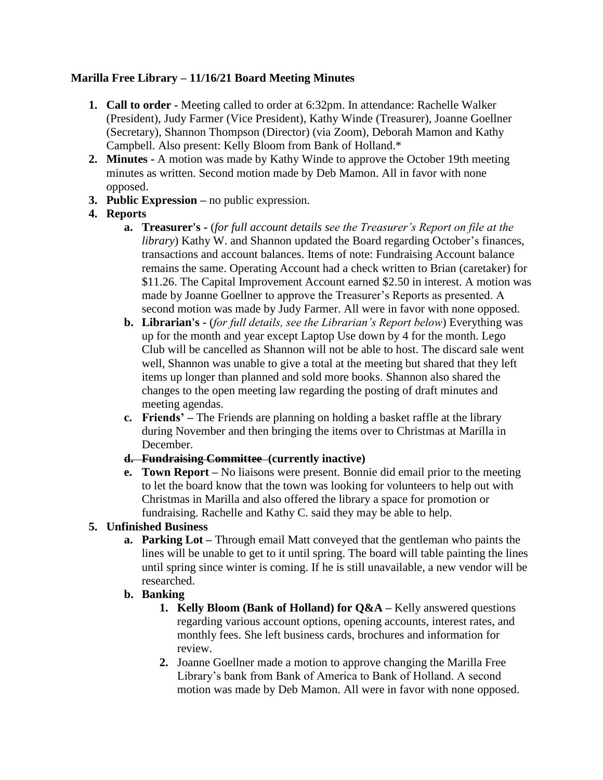## **Marilla Free Library – 11/16/21 Board Meeting Minutes**

- **1. Call to order -** Meeting called to order at 6:32pm. In attendance: Rachelle Walker (President), Judy Farmer (Vice President), Kathy Winde (Treasurer), Joanne Goellner (Secretary), Shannon Thompson (Director) (via Zoom), Deborah Mamon and Kathy Campbell. Also present: Kelly Bloom from Bank of Holland.\*
- **2. Minutes -** A motion was made by Kathy Winde to approve the October 19th meeting minutes as written. Second motion made by Deb Mamon. All in favor with none opposed.
- **3. Public Expression –** no public expression.
- **4. Reports**
	- **a. Treasurer's -** (*for full account details see the Treasurer's Report on file at the library*) Kathy W. and Shannon updated the Board regarding October's finances, transactions and account balances. Items of note: Fundraising Account balance remains the same. Operating Account had a check written to Brian (caretaker) for \$11.26. The Capital Improvement Account earned \$2.50 in interest. A motion was made by Joanne Goellner to approve the Treasurer's Reports as presented. A second motion was made by Judy Farmer. All were in favor with none opposed.
	- **b. Librarian's -** (*for full details, see the Librarian's Report below*) Everything was up for the month and year except Laptop Use down by 4 for the month. Lego Club will be cancelled as Shannon will not be able to host. The discard sale went well, Shannon was unable to give a total at the meeting but shared that they left items up longer than planned and sold more books. Shannon also shared the changes to the open meeting law regarding the posting of draft minutes and meeting agendas.
	- **c. Friends' –** The Friends are planning on holding a basket raffle at the library during November and then bringing the items over to Christmas at Marilla in December.
	- **d. Fundraising Committee (currently inactive)**
	- **e. Town Report –** No liaisons were present. Bonnie did email prior to the meeting to let the board know that the town was looking for volunteers to help out with Christmas in Marilla and also offered the library a space for promotion or fundraising. Rachelle and Kathy C. said they may be able to help.

# **5. Unfinished Business**

- **a. Parking Lot –** Through email Matt conveyed that the gentleman who paints the lines will be unable to get to it until spring. The board will table painting the lines until spring since winter is coming. If he is still unavailable, a new vendor will be researched.
- **b. Banking**
	- **1. Kelly Bloom (Bank of Holland) for Q&A –** Kelly answered questions regarding various account options, opening accounts, interest rates, and monthly fees. She left business cards, brochures and information for review.
	- **2.** Joanne Goellner made a motion to approve changing the Marilla Free Library's bank from Bank of America to Bank of Holland. A second motion was made by Deb Mamon. All were in favor with none opposed.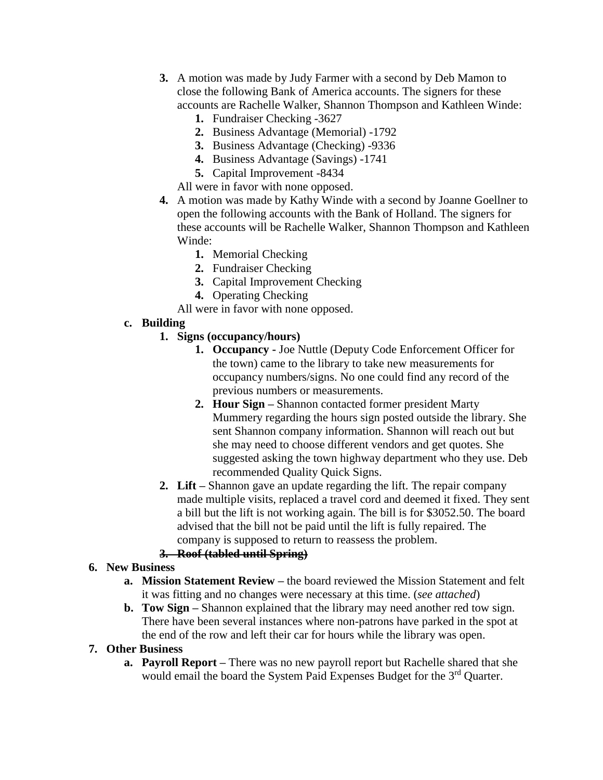- **3.** A motion was made by Judy Farmer with a second by Deb Mamon to close the following Bank of America accounts. The signers for these accounts are Rachelle Walker, Shannon Thompson and Kathleen Winde:
	- **1.** Fundraiser Checking -3627
	- **2.** Business Advantage (Memorial) -1792
	- **3.** Business Advantage (Checking) -9336
	- **4.** Business Advantage (Savings) -1741
	- **5.** Capital Improvement -8434

All were in favor with none opposed.

- **4.** A motion was made by Kathy Winde with a second by Joanne Goellner to open the following accounts with the Bank of Holland. The signers for these accounts will be Rachelle Walker, Shannon Thompson and Kathleen Winde:
	- **1.** Memorial Checking
	- **2.** Fundraiser Checking
	- **3.** Capital Improvement Checking
	- **4.** Operating Checking
	- All were in favor with none opposed.

## **c. Building**

- **1. Signs (occupancy/hours)**
	- **1. Occupancy -** Joe Nuttle (Deputy Code Enforcement Officer for the town) came to the library to take new measurements for occupancy numbers/signs. No one could find any record of the previous numbers or measurements.
	- **2. Hour Sign –** Shannon contacted former president Marty Mummery regarding the hours sign posted outside the library. She sent Shannon company information. Shannon will reach out but she may need to choose different vendors and get quotes. She suggested asking the town highway department who they use. Deb recommended Quality Quick Signs.
- **2. Lift –** Shannon gave an update regarding the lift. The repair company made multiple visits, replaced a travel cord and deemed it fixed. They sent a bill but the lift is not working again. The bill is for \$3052.50. The board advised that the bill not be paid until the lift is fully repaired. The company is supposed to return to reassess the problem.

# **3. Roof (tabled until Spring)**

## **6. New Business**

- **a. Mission Statement Review –** the board reviewed the Mission Statement and felt it was fitting and no changes were necessary at this time. (*see attached*)
- **b. Tow Sign –** Shannon explained that the library may need another red tow sign. There have been several instances where non-patrons have parked in the spot at the end of the row and left their car for hours while the library was open.

## **7. Other Business**

**a. Payroll Report –** There was no new payroll report but Rachelle shared that she would email the board the System Paid Expenses Budget for the 3<sup>rd</sup> Quarter.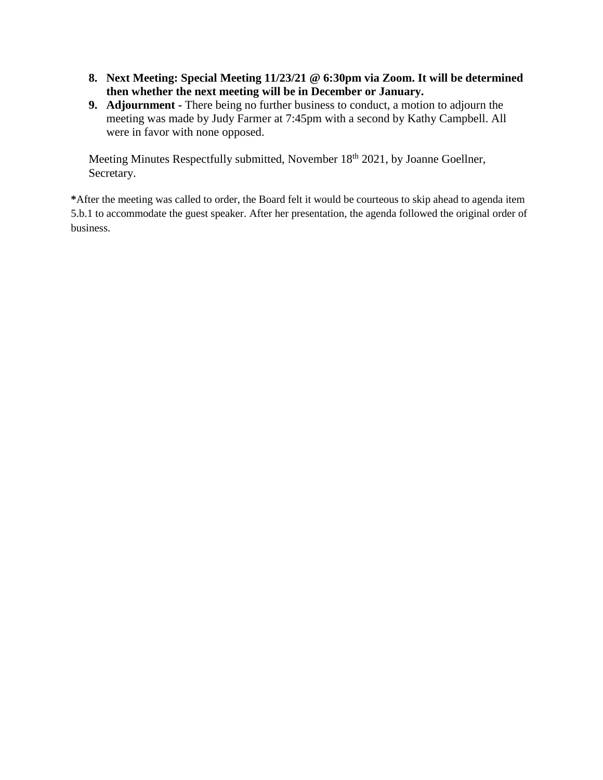- **8. Next Meeting: Special Meeting 11/23/21 @ 6:30pm via Zoom. It will be determined then whether the next meeting will be in December or January.**
- **9. Adjournment -** There being no further business to conduct, a motion to adjourn the meeting was made by Judy Farmer at 7:45pm with a second by Kathy Campbell. All were in favor with none opposed.

Meeting Minutes Respectfully submitted, November 18<sup>th</sup> 2021, by Joanne Goellner, Secretary.

**\***After the meeting was called to order, the Board felt it would be courteous to skip ahead to agenda item 5.b.1 to accommodate the guest speaker. After her presentation, the agenda followed the original order of business.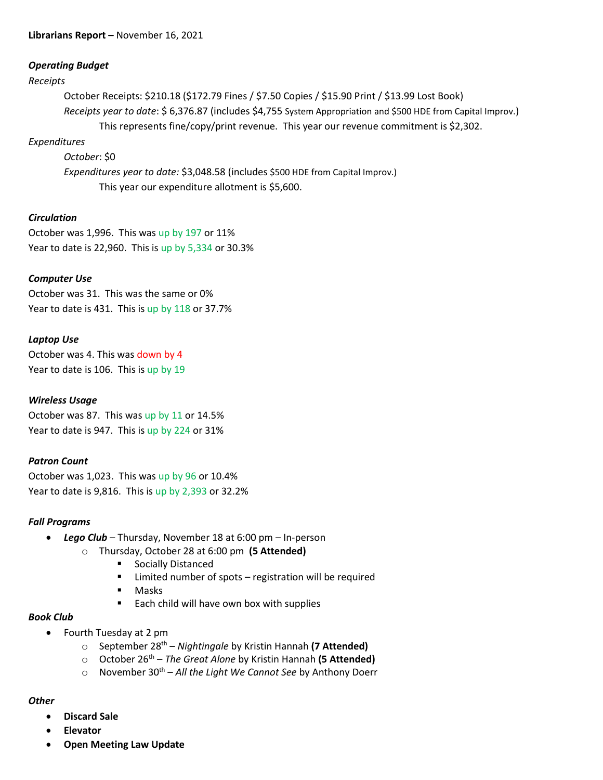## *Operating Budget*

#### *Receipts*

October Receipts: \$210.18 (\$172.79 Fines / \$7.50 Copies / \$15.90 Print / \$13.99 Lost Book) *Receipts year to date*: \$ 6,376.87 (includes \$4,755 System Appropriation and \$500 HDE from Capital Improv.) This represents fine/copy/print revenue. This year our revenue commitment is \$2,302.

## *Expenditures*

*October*: \$0

*Expenditures year to date:* \$3,048.58 (includes \$500 HDE from Capital Improv.) This year our expenditure allotment is \$5,600.

## *Circulation*

October was 1,996. This was up by 197 or 11% Year to date is 22,960. This is up by 5,334 or 30.3%

## *Computer Use*

October was 31. This was the same or 0% Year to date is 431. This is up by 118 or 37.7%

## *Laptop Use*

October was 4. This was down by 4 Year to date is 106. This is up by 19

### *Wireless Usage*

October was 87. This was up by 11 or 14.5% Year to date is 947. This is up by 224 or 31%

### *Patron Count*

October was 1,023. This was up by 96 or 10.4% Year to date is 9,816. This is up by 2,393 or 32.2%

### *Fall Programs*

- *Lego Club*  Thursday, November 18 at 6:00 pm In-person
	- o Thursday, October 28 at 6:00 pm **(5 Attended)**
		- **Socially Distanced**
		- **E** Limited number of spots registration will be required
		- **Masks**
		- Each child will have own box with supplies

### *Book Club*

- Fourth Tuesday at 2 pm
	- o September 28th *Nightingale* by Kristin Hannah **(7 Attended)**
	- o October 26th *The Great Alone* by Kristin Hannah **(5 Attended)**
	- o November 30th *All the Light We Cannot See* by Anthony Doerr

### *Other*

- **Discard Sale**
- **Elevator**
- **Open Meeting Law Update**